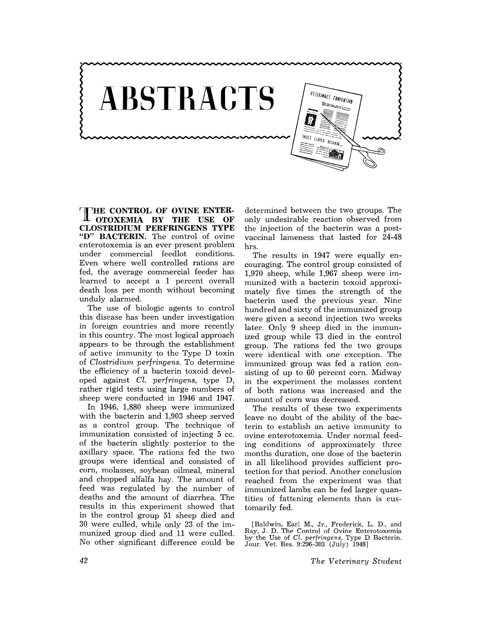

**HE CONTROL OF OVINE ENTER-Jl OTOXEMIA BY THE USE OF CLOSTRIDIUM PERFRINGENS TYPE**  "D" **BACTERIN.** The control of ovine enterotoxemia is an ever present problem under commercial feedlot conditions. Even where well controlled rations are fed, the average commercial feeder has learned to accept a 1 percent overall death loss per month without becoming unduly alarmed.

The use of biologic agents to control this disease has been under investigation in foreign countries and more recently in this country. The most logical approach appears to be through the establishment of active immunity to the Type D toxin of *Clostridium perfringens.* To determine the efficiency of a bacterin toxoid developed against *Cl. perfringens,* type D, rather rigid tests using large numbers of sheep were conducted in 1946 and 1947.

In 1946, 1,880 sheep were immunized with the bacterin and 1,903 sheep served as a control group. The technique of immunization consisted of injecting 5 cc. of the bacterin slightly posterior to the axillary space. The rations fed the two groups were identical and consisted of corn, molasses, soybean oilmeal, mineral and chopped alfalfa hay. The amount of feed was regulated by the number of deaths and the amount of diarrhea. The results in this experiment showed that in the control group 51 sheep died and 30 were culled, while only 23 of the immunized group died and 11 were culled. No other significant difference could be

determined between the two groups. The only undesirable reaction observed from the injection of the bacterin was a postvaccinal lameness that lasted for 24-48 hrs.

The results in 1947 were equally encouraging. The control group consisted of 1,970 sheep, while 1,967 sheep were immunized with a bacterin toxoid approximately five times the strength of the bacterin used the previous year. Nine hundred and sixty of the immunized group were given a second injection two weeks later. Only 9 sheep died in the immunized group while 73 died in the control group. The rations fed the two groups were identical with one exception. The immunized group was fed a ration consisting of up to 60 percent corn. Midway in the experiment the molasses content of both rations was increased and the amount of corn was decreased.

The results of these two experiments leave no doubt of the ability of the bacterin to establish an active immunity to ovine enterotoxemia. Under normal feeding conditions of approximately three months duration, one dose of the bacterin in all likelihood provides sufficient protection for that period. Another conclusion reached from the experiment was that immunized lambs can be fed larger quantities of fattening elements than is customarily fed.

<sup>[</sup>Baldwin, Earl M., Jr., Frederick, L. D., and Ray, J. D. The Control of Ovine Enterotoxemia by the Use of CL. *perjringens,* Type D Bacterin. Jour. Vet. Res. 9:296-303 (July) 1948]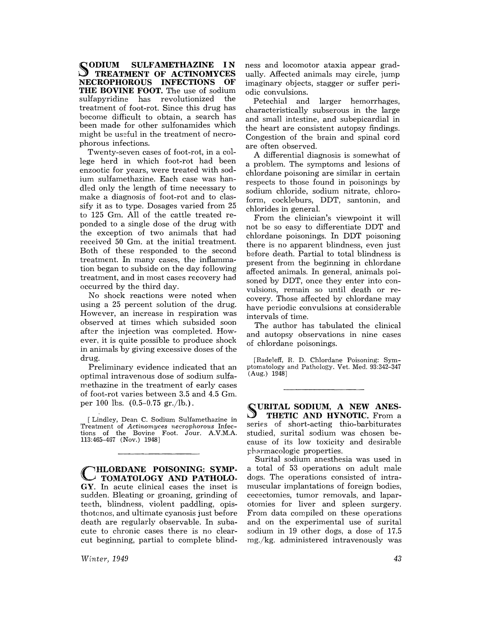**SODIUM SULFAMETHAZINE IN TREATMENT OF ACTINOMYCES**<br> **EROPHOROUS INFECTIONS OF NECROPHOROUS INFECTIONS THE BOVINE FOOT.** The use of sodium<br>sulfanyriding has revolutionized the sulfapyridine has revolutionized treatment of foot-rot. Since this drug has become difficult to obtain, a search has been made for other sulfonamides which might be useful in the treatment of necrophorous infections.

Twenty-seven cases of foot-rot, in a college herd in which foot-rot had been enzootic for years, were treated with sodium sulfamethazine. Each case was handled only the length of time necessary to make a diagnosis of foot-rot and to classify it as to type. Dosages varied from 25 to 125 Gm. All of the cattle treated reponded to a single dose of the drug with the exception of two animals that had received 50 Gm. at the initial treatment. Both of these responded to the second treatment. In many cases, the inflammation began to subside on the day following treatment, and in most cases recovery had occurred by the third day.

No shock reactions were noted when using a 25 percent solution of the drug. However, an increase in respiration was observed at times which subsided soon after the injection was completed. However, it is quite possible to produce shock in animals by giving excessive doses of the drug.

Preliminary evidence indicated that an optimal intravenous dose of sodium sulfamethazine in the treatment of early cases of foot-rot varies between 3.5 and 4.5 Gm. per 100 lbs.  $(0.5-0.75 \text{ gr.}/\text{lb.})$ .

[Lindley, Dean C. Sodium Sulfamethazine in Treatment of *Actinomyces necrophorous* Infections of the Bovine Foot. Jour. A.V.M.A. 113:465-467 (Nov.) 1948]

**HLORDANE POISONING: SYMP-TOMATOLOGY AND PATHOLO-**GY. In acute clinical cases the inset is sudden. Bleating or groaning, grinding of teeth, blindness, violent paddling, opisthotonos, and ultimate cyanosis just before death are regularly observable. In subacute to chronic cases there is no clear cut beginning, partial to complete blind-

*Winter, 1949* 

ness and locomotor ataxia appear gradually. Affected animals may circle, jump imaginary objects, stagger or suffer periodic convulsions.

Petechial and larger hemorrhages, characteristically subserous in the large and small intestine, and subepicardial in the heart are consistent autopsy findings. Congestion of the brain and spinal cord are often observed.

A differential diagnosis is somewhat of a problem. The symptoms and lesions of chlordane poisoning are similar in certain respects to those found in poisonings by sodium chloride, sodium nitrate, chloroform, cockleburs, DDT, santonin, and chlorides in general.

From the clinician's viewpoint it will not be so easy to differentiate DDT and chlordane poisonings. In DDT poisoning there is no apparent blindness, even just before death. Partial to total blindness is present from the beginning in chlordane affected animals. In general, animals poisoned by DDT, once they enter into convulsions, remain so until death or recovery. Those affected by chlordane may have periodic convulsions at considerable intervals of time.

The author has tabulated the clinical and autopsy observations in nine cases of chlordane poisonings.

fRadeleff, R. D. Chlordane Poisoning: Symptomatology and Pathology. Vet. Med. 93:342-347 (Aug.) 1948]

~URITAL **SODIUM, A NEW ANES-J THETIC AND HYNOTIC.** From a series of short-acting thio-barbiturates studied, surital sodium was chosen because of its low toxicity and desirable pharmacologic properties.

Surital sodium anesthesia was used in a total of 53 operations on adult male dogs. The operations consisted of intramuscular implantations of foreign bodies, cecectomies, tumor removals, and laparotomies for liver and spleen surgery. From data compiled on these operations and on the experimental use of surital sodium in 19 other dogs, a dose of 17.5 mg/kg. administered intravenously was